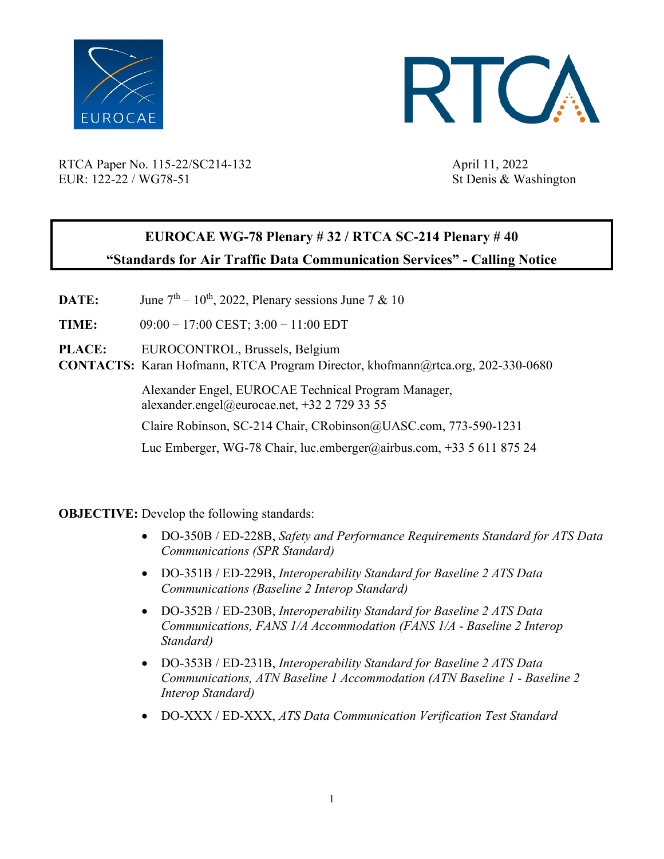



RTCA Paper No. 115-22/SC214-132 April 11, 2022 EUR: 122-22 / WG78-51 St Denis & Washington

## **EUROCAE WG-78 Plenary # 32 / RTCA SC-214 Plenary # 40 "Standards for Air Traffic Data Communication Services" - Calling Notice**

- **DATE:** June  $7<sup>th</sup> 10<sup>th</sup>$ , 2022, Plenary sessions June 7 & 10
- **TIME:** 09:00 17:00 CEST; 3:00 11:00 EDT
- **PLACE:** EUROCONTROL, Brussels, Belgium
- **CONTACTS:** Karan Hofmann, RTCA Program Director, khofmann@rtca.org, 202-330-0680

Alexander Engel, EUROCAE Technical Program [Manager,](about:blank) alexander.engel@eurocae.net, +32 2 729 33 55

[Claire Robinson, SC-214 Chai](about:blank)r, [CRobinson@UASC.com,](mailto:CRobinson@UASC.com) 773-590-1231

Luc Emberger, WG-78 Chair, luc.emberger@airbus.com, +33 5 611 875 24

**OBJECTIVE:** Develop the following standards:

- DO-350B / ED-228B, *Safety and Performance Requirements Standard for ATS Data Communications (SPR Standard)*
- DO-351B / ED-229B, *Interoperability Standard for Baseline 2 ATS Data Communications (Baseline 2 Interop Standard)*
- DO-352B / ED-230B, *Interoperability Standard for Baseline 2 ATS Data Communications, FANS 1/A Accommodation (FANS 1/A - Baseline 2 Interop Standard)*
- DO-353B / ED-231B, *Interoperability Standard for Baseline 2 ATS Data Communications, ATN Baseline 1 Accommodation (ATN Baseline 1 - Baseline 2 Interop Standard)*
- DO-XXX / ED-XXX, *ATS Data Communication Verification Test Standard*